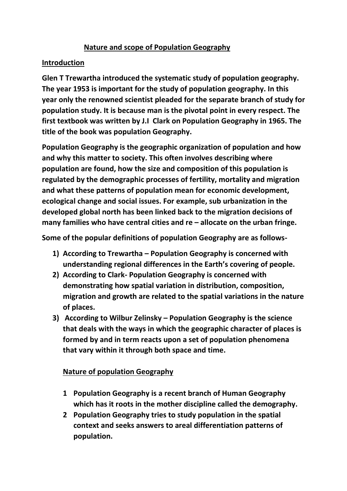## **Nature and scope of Population Geography**

## **Introduction**

**Glen T Trewartha introduced the systematic study of population geography. The year 1953 is important for the study of population geography. In this year only the renowned scientist pleaded for the separate branch of study for population study. It is because man is the pivotal point in every respect. The first textbook was written by J.I Clark on Population Geography in 1965. The title of the book was population Geography.**

**Population Geography is the geographic organization of population and how and why this matter to society. This often involves describing where population are found, how the size and composition of this population is regulated by the demographic processes of fertility, mortality and migration and what these patterns of population mean for economic development, ecological change and social issues. For example, sub urbanization in the developed global north has been linked back to the migration decisions of many families who have central cities and re – allocate on the urban fringe.**

**Some of the popular definitions of population Geography are as follows-**

- **1) According to Trewartha – Population Geography is concerned with understanding regional differences in the Earth's covering of people.**
- **2) According to Clark- Population Geography is concerned with demonstrating how spatial variation in distribution, composition, migration and growth are related to the spatial variations in the nature of places.**
- **3) According to Wilbur Zelinsky – Population Geography is the science that deals with the ways in which the geographic character of places is formed by and in term reacts upon a set of population phenomena that vary within it through both space and time.**

## **Nature of population Geography**

- **1 Population Geography is a recent branch of Human Geography which has it roots in the mother discipline called the demography.**
- **2 Population Geography tries to study population in the spatial context and seeks answers to areal differentiation patterns of population.**